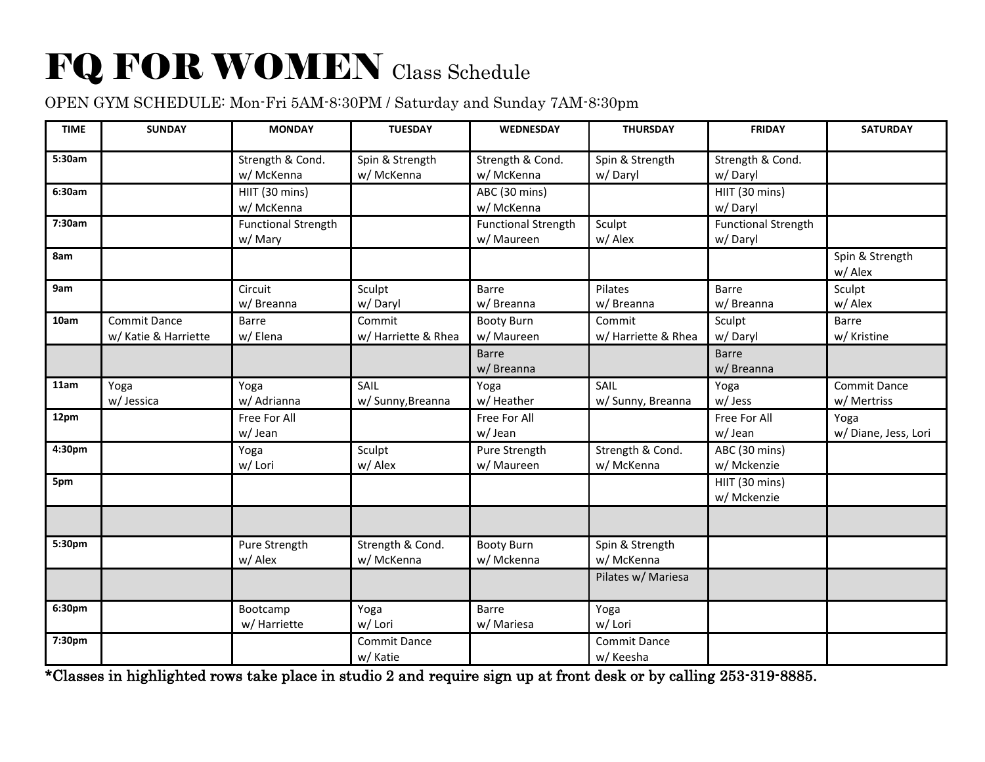## FQ FOR WOMEN Class Schedule

## OPEN GYM SCHEDULE: Mon-Fri 5AM-8:30PM / Saturday and Sunday 7AM-8:30pm

| <b>TIME</b> | <b>SUNDAY</b>                               | <b>MONDAY</b>                        | <b>TUESDAY</b>                  | <b>WEDNESDAY</b>                         | <b>THURSDAY</b>                  | <b>FRIDAY</b>                         | <b>SATURDAY</b>                    |
|-------------|---------------------------------------------|--------------------------------------|---------------------------------|------------------------------------------|----------------------------------|---------------------------------------|------------------------------------|
| 5:30am      |                                             | Strength & Cond.<br>w/ McKenna       | Spin & Strength<br>w/ McKenna   | Strength & Cond.<br>w/ McKenna           | Spin & Strength<br>w/Daryl       | Strength & Cond.<br>w/Daryl           |                                    |
| 6:30am      |                                             | HIIT (30 mins)<br>w/ McKenna         |                                 | ABC (30 mins)<br>w/ McKenna              |                                  | HIIT (30 mins)<br>w/Daryl             |                                    |
| 7:30am      |                                             | <b>Functional Strength</b><br>w/Mary |                                 | <b>Functional Strength</b><br>w/ Maureen | Sculpt<br>w/ Alex                | <b>Functional Strength</b><br>w/Daryl |                                    |
| 8am         |                                             |                                      |                                 |                                          |                                  |                                       | Spin & Strength<br>w/Alex          |
| 9am         |                                             | Circuit<br>w/ Breanna                | Sculpt<br>w/Daryl               | <b>Barre</b><br>w/ Breanna               | Pilates<br>w/ Breanna            | Barre<br>w/ Breanna                   | Sculpt<br>w/ Alex                  |
| 10am        | <b>Commit Dance</b><br>w/ Katie & Harriette | <b>Barre</b><br>w/Elena              | Commit<br>w/ Harriette & Rhea   | <b>Booty Burn</b><br>w/ Maureen          | Commit<br>w/ Harriette & Rhea    | Sculpt<br>w/Daryl                     | <b>Barre</b><br>w/ Kristine        |
|             |                                             |                                      |                                 | <b>Barre</b><br>w/ Breanna               |                                  | <b>Barre</b><br>w/Breanna             |                                    |
| 11am        | Yoga<br>w/ Jessica                          | Yoga<br>w/ Adrianna                  | SAIL<br>w/ Sunny, Breanna       | Yoga<br>w/ Heather                       | SAIL<br>w/ Sunny, Breanna        | Yoga<br>w/Jess                        | <b>Commit Dance</b><br>w/ Mertriss |
| 12pm        |                                             | Free For All<br>w/Jean               |                                 | Free For All<br>w/Jean                   |                                  | Free For All<br>w/Jean                | Yoga<br>w/Diane, Jess, Lori        |
| 4:30pm      |                                             | Yoga<br>w/ Lori                      | Sculpt<br>w/Alex                | Pure Strength<br>w/ Maureen              | Strength & Cond.<br>w/ McKenna   | ABC (30 mins)<br>w/ Mckenzie          |                                    |
| 5pm         |                                             |                                      |                                 |                                          |                                  | HIIT (30 mins)<br>w/ Mckenzie         |                                    |
|             |                                             |                                      |                                 |                                          |                                  |                                       |                                    |
| 5:30pm      |                                             | Pure Strength<br>w/ Alex             | Strength & Cond.<br>w/ McKenna  | <b>Booty Burn</b><br>w/ Mckenna          | Spin & Strength<br>w/ McKenna    |                                       |                                    |
|             |                                             |                                      |                                 |                                          | Pilates w/ Mariesa               |                                       |                                    |
| 6:30pm      |                                             | Bootcamp<br>w/ Harriette             | Yoga<br>w/ Lori                 | <b>Barre</b><br>w/ Mariesa               | Yoga<br>w/ Lori                  |                                       |                                    |
| 7:30pm      |                                             |                                      | <b>Commit Dance</b><br>w/ Katie |                                          | <b>Commit Dance</b><br>w/ Keesha |                                       |                                    |

\*Classes in highlighted rows take place in studio 2 and require sign up at front desk or by calling 253-319-8885.